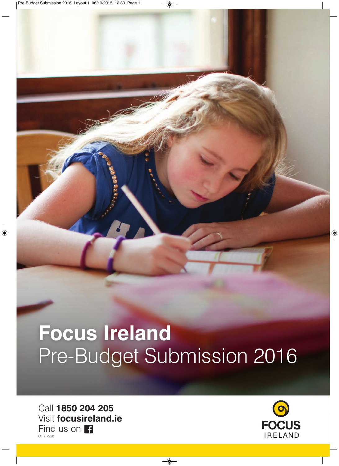# **Focus Ireland** Pre-Budget Submission 2016

Call **1850 204 205** Visit **focusireland.ie** Find us on **F** CHY 7220

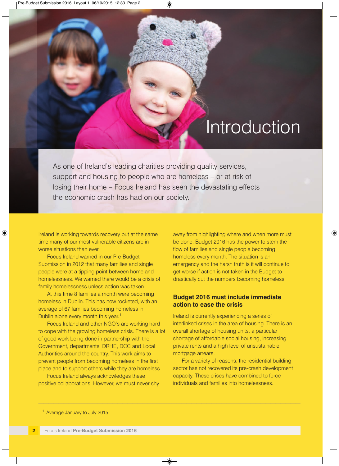### **Introduction**

As one of Ireland's leading charities providing quality services, support and housing to people who are homeless – or at risk of losing their home – Focus Ireland has seen the devastating effects the economic crash has had on our society.

—————————————————————————————————————————————————————

Ireland is working towards recovery but at the same time many of our most vulnerable citizens are in worse situations than ever.

Focus Ireland warned in our Pre-Budget Submission in 2012 that many families and single people were at a tipping point between home and homelessness. We warned there would be a crisis of family homelessness unless action was taken.

At this time 8 families a month were becoming homeless in Dublin. This has now rocketed, with an average of 67 families becoming homeless in Dublin alone every month this year.<sup>1</sup>

Focus Ireland and other NGO's are working hard to cope with the growing homeless crisis. There is a lot of good work being done in partnership with the Government, departments, DRHE, DCC and Local Authorities around the country. This work aims to prevent people from becoming homeless in the first place and to support others while they are homeless.

Focus Ireland always acknowledges these positive collaborations. However, we must never shy

away from highlighting where and when more must be done. Budget 2016 has the power to stem the flow of families and single people becoming homeless every month. The situation is an emergency and the harsh truth is it will continue to get worse if action is not taken in the Budget to drastically cut the numbers becoming homeless.

#### **Budget 2016 must include immediate action to ease the crisis**

Ireland is currently experiencing a series of interlinked crises in the area of housing. There is an overall shortage of housing units, a particular shortage of affordable social housing, increasing private rents and a high level of unsustainable mortgage arrears.

For a variety of reasons, the residential building sector has not recovered its pre-crash development capacity. These crises have combined to force individuals and families into homelessness.

<sup>&</sup>lt;sup>1</sup> Average January to July 2015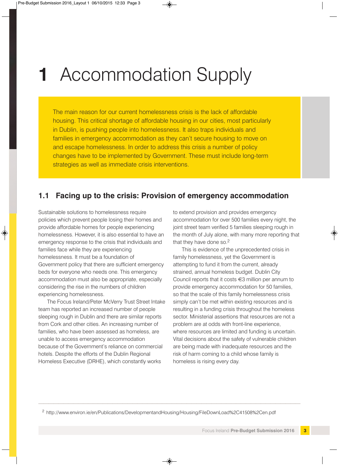## **1** Accommodation Supply

The main reason for our current homelessness crisis is the lack of affordable housing. This critical shortage of affordable housing in our cities, most particularly in Dublin, is pushing people into homelessness. It also traps individuals and families in emergency accommodation as they can't secure housing to move on and escape homelessness. In order to address this crisis a number of policy changes have to be implemented by Government. These must include long-term strategies as well as immediate crisis interventions.

#### **1.1 Facing up to the crisis: Provision of emergency accommodation**

Sustainable solutions to homelessness require policies which prevent people losing their homes and provide affordable homes for people experiencing homelessness. However, it is also essential to have an emergency response to the crisis that individuals and families face while they are experiencing homelessness. It must be a foundation of Government policy that there are sufficient emergency beds for everyone who needs one. This emergency accommodation must also be appropriate, especially considering the rise in the numbers of children experiencing homelessness.

The Focus Ireland/Peter McVerry Trust Street Intake team has reported an increased number of people sleeping rough in Dublin and there are similar reports from Cork and other cities. An increasing number of families, who have been assessed as homeless, are unable to access emergency accommodation because of the Government's reliance on commercial hotels. Despite the efforts of the Dublin Regional Homeless Executive (DRHE), which constantly works

to extend provision and provides emergency accommodation for over 500 families every night, the joint street team verified 5 families sleeping rough in the month of July alone, with many more reporting that that they have done so. $2$ 

This is evidence of the unprecedented crisis in family homelessness, yet the Government is attempting to fund it from the current, already strained, annual homeless budget. Dublin City Council reports that it costs €3 million per annum to provide emergency accommodation for 50 families, so that the scale of this family homelessness crisis simply can't be met within existing resources and is resulting in a funding crisis throughout the homeless sector. Ministerial assertions that resources are not a problem are at odds with front-line experience, where resources are limited and funding is uncertain. Vital decisions about the safety of vulnerable children are being made with inadequate resources and the risk of harm coming to a child whose family is homeless is rising every day.

<sup>2</sup> http://www.environ.ie/en/Publications/DevelopmentandHousing/Housing/FileDownLoad%2C41508%2Cen.pdf

—————————————————————————————————————————————————————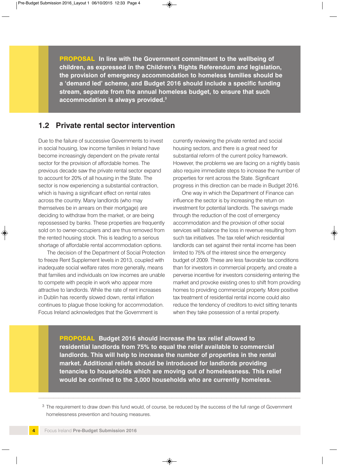**PROPOSAL In line with the Government commitment to the wellbeing of children, as expressed in the Children's Rights Referendum and legislation, the provision of emergency accommodation to homeless families should be a 'demand led' scheme, and Budget 2016 should include a specific funding stream, separate from the annual homeless budget, to ensure that such accommodation is always provided.3**

#### **1.2 Private rental sector intervention**

Due to the failure of successive Governments to invest in social housing, low income families in Ireland have become increasingly dependent on the private rental sector for the provision of affordable homes. The previous decade saw the private rental sector expand to account for 20% of all housing in the State. The sector is now experiencing a substantial contraction, which is having a significant effect on rental rates across the country. Many landlords (who may themselves be in arrears on their mortgage) are deciding to withdraw from the market, or are being repossessed by banks. These properties are frequently sold on to owner-occupiers and are thus removed from the rented housing stock. This is leading to a serious shortage of affordable rental accommodation options.

The decision of the Department of Social Protection to freeze Rent Supplement levels in 2013, coupled with inadequate social welfare rates more generally, means that families and individuals on low incomes are unable to compete with people in work who appear more attractive to landlords. While the rate of rent increases in Dublin has recently slowed down, rental inflation continues to plague those looking for accommodation. Focus Ireland acknowledges that the Government is

currently reviewing the private rented and social housing sectors, and there is a great need for substantial reform of the current policy framework. However, the problems we are facing on a nightly basis also require immediate steps to increase the number of properties for rent across the State. Significant progress in this direction can be made in Budget 2016.

One way in which the Department of Finance can influence the sector is by increasing the return on investment for potential landlords. The savings made through the reduction of the cost of emergency accommodation and the provision of other social services will balance the loss in revenue resulting from such tax initiatives. The tax relief which residential landlords can set against their rental income has been limited to 75% of the interest since the emergency budget of 2009. These are less favorable tax conditions than for investors in commercial property, and create a perverse incentive for investors considering entering the market and provoke existing ones to shift from providing homes to providing commercial property. More positive tax treatment of residential rental income could also reduce the tendency of creditors to evict sitting tenants when they take possession of a rental property.

**PROPOSAL Budget 2016 should increase the tax relief allowed to residential landlords from 75% to equal the relief available to commercial landlords. This will help to increase the number of properties in the rental market. Additional reliefs should be introduced for landlords providing tenancies to households which are moving out of homelessness. This relief would be confined to the 3,000 households who are currently homeless.**

<sup>3</sup> The requirement to draw down this fund would, of course, be reduced by the success of the full range of Government homelessness prevention and housing measures.

—————————————————————————————————————————————————————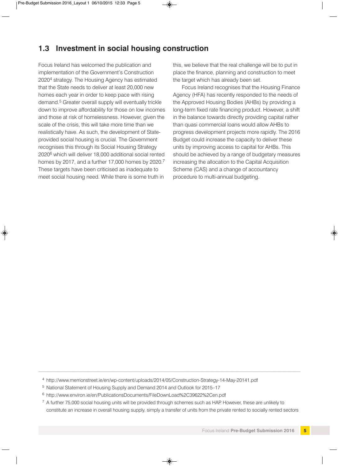#### **1.3 Investment in social housing construction**

Focus Ireland has welcomed the publication and implementation of the Government's Construction 20204 strategy. The Housing Agency has estimated that the State needs to deliver at least 20,000 new homes each year in order to keep pace with rising demand.5 Greater overall supply will eventually trickle down to improve affordability for those on low incomes and those at risk of homelessness. However, given the scale of the crisis, this will take more time than we realistically have. As such, the development of Stateprovided social housing is crucial. The Government recognises this through its Social Housing Strategy 20206 which will deliver 18,000 additional social rented homes by 2017, and a further 17,000 homes by 2020.<sup>7</sup> These targets have been criticised as inadequate to meet social housing need. While there is some truth in

this, we believe that the real challenge will be to put in place the finance, planning and construction to meet the target which has already been set.

Focus Ireland recognises that the Housing Finance Agency (HFA) has recently responded to the needs of the Approved Housing Bodies (AHBs) by providing a long-term fixed rate financing product. However, a shift in the balance towards directly providing capital rather than quasi commercial loans would allow AHBs to progress development projects more rapidly. The 2016 Budget could increase the capacity to deliver these units by improving access to capital for AHBs. This should be achieved by a range of budgetary measures increasing the allocation to the Capital Acquisition Scheme (CAS) and a change of accountancy procedure to multi-annual budgeting.

<sup>4</sup> http://www.merrionstreet.ie/en/wp-content/uploads/2014/05/Construction-Strategy-14-May-20141.pdf

—————————————————————————————————————————————————————

<sup>5</sup> National Statement of Housing Supply and Demand 2014 and Outlook for 2015–17

<sup>6</sup> http://www.environ.ie/en/PublicationsDocuments/FileDownLoad%2C39622%2Cen.pdf

 $7$  A further 75,000 social housing units will be provided through schemes such as HAP. However, these are unlikely to constitute an increase in overall housing supply, simply a transfer of units from the private rented to socially rented sectors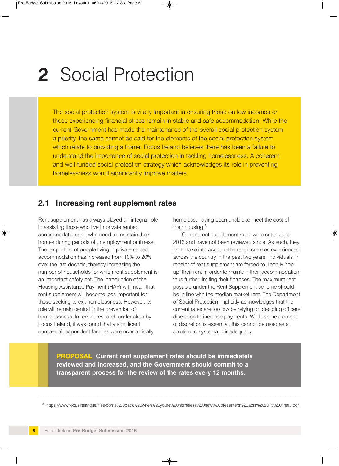### **2** Social Protection

The social protection system is vitally important in ensuring those on low incomes or those experiencing financial stress remain in stable and safe accommodation. While the current Government has made the maintenance of the overall social protection system a priority, the same cannot be said for the elements of the social protection system which relate to providing a home. Focus Ireland believes there has been a failure to understand the importance of social protection in tackling homelessness. A coherent and well-funded social protection strategy which acknowledges its role in preventing homelessness would significantly improve matters.

#### **2.1 Increasing rent supplement rates**

Rent supplement has always played an integral role in assisting those who live in private rented accommodation and who need to maintain their homes during periods of unemployment or illness. The proportion of people living in private rented accommodation has increased from 10% to 20% over the last decade, thereby increasing the number of households for which rent supplement is an important safety net. The introduction of the Housing Assistance Payment (HAP) will mean that rent supplement will become less important for those seeking to exit homelessness. However, its role will remain central in the prevention of homelessness. In recent research undertaken by Focus Ireland, it was found that a significant number of respondent families were economically

homeless, having been unable to meet the cost of their housing.8

Current rent supplement rates were set in June 2013 and have not been reviewed since. As such, they fail to take into account the rent increases experienced across the country in the past two years. Individuals in receipt of rent supplement are forced to illegally 'top up' their rent in order to maintain their accommodation, thus further limiting their finances. The maximum rent payable under the Rent Supplement scheme should be in line with the median market rent. The Department of Social Protection implicitly acknowledges that the current rates are too low by relying on deciding officers' discretion to increase payments. While some element of discretion is essential, this cannot be used as a solution to systematic inadequacy.

**PROPOSAL Current rent supplement rates should be immediately reviewed and increased, and the Government should commit to a transparent process for the review of the rates every 12 months.**

————————————————————————————————————————————————————— <sup>8</sup> https://www.focusireland.ie/files/come%20back%20when%20youre%20homeless%20new%20presenters%20april%202015%20final3.pdf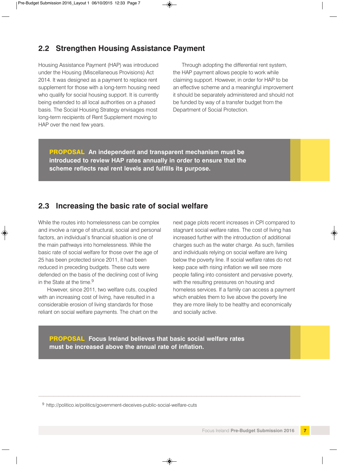#### **2.2 Strengthen Housing Assistance Payment**

Housing Assistance Payment (HAP) was introduced under the Housing (Miscellaneous Provisions) Act 2014. It was designed as a payment to replace rent supplement for those with a long-term housing need who qualify for social housing support. It is currently being extended to all local authorities on a phased basis. The Social Housing Strategy envisages most long-term recipients of Rent Supplement moving to HAP over the next few years.

Through adopting the differential rent system, the HAP payment allows people to work while claiming support. However, in order for HAP to be an effective scheme and a meaningful improvement it should be separately administered and should not be funded by way of a transfer budget from the Department of Social Protection.

**PROPOSAL An independent and transparent mechanism must be introduced to review HAP rates annually in order to ensure that the scheme reflects real rent levels and fulfills its purpose.**

#### **2.3 Increasing the basic rate of social welfare**

While the routes into homelessness can be complex and involve a range of structural, social and personal factors, an individual's financial situation is one of the main pathways into homelessness. While the basic rate of social welfare for those over the age of 25 has been protected since 2011, it had been reduced in preceding budgets. These cuts were defended on the basis of the declining cost of living in the State at the time.<sup>9</sup>

However, since 2011, two welfare cuts, coupled with an increasing cost of living, have resulted in a considerable erosion of living standards for those reliant on social welfare payments. The chart on the

next page plots recent increases in CPI compared to stagnant social welfare rates. The cost of living has increased further with the introduction of additional charges such as the water charge. As such, families and individuals relying on social welfare are living below the poverty line. If social welfare rates do not keep pace with rising inflation we will see more people falling into consistent and pervasive poverty, with the resulting pressures on housing and homeless services. If a family can access a payment which enables them to live above the poverty line they are more likely to be healthy and economically and socially active.

**PROPOSAL Focus Ireland believes that basic social welfare rates must be increased above the annual rate of inflation.**

—————————————————————————————————————————————————————

<sup>9</sup> http://politico.ie/politics/government-deceives-public-social-welfare-cuts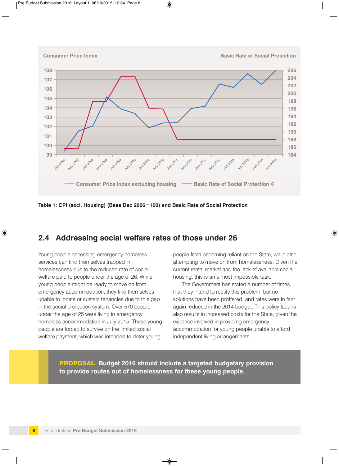

**Consumer Price Index <b>Basic Rate of Social Protection** 



**Table 1: CPI (excl. Housing) (Base Dec 2006=100) and Basic Rate of Social Protection**

#### **2.4 Addressing social welfare rates of those under 26**

Young people accessing emergency homeless services can find themselves trapped in homelessness due to the reduced rate of social welfare paid to people under the age of 26. While young people might be ready to move on from emergency accommodation, they find themselves unable to locate or sustain tenancies due to this gap in the social protection system. Over 570 people under the age of 25 were living in emergency homeless accommodation in July 2015. These young people are forced to survive on the limited social welfare payment, which was intended to deter young

people from becoming reliant on the State, while also attempting to move on from homelessness. Given the current rental market and the lack of available social housing, this is an almost impossible task.

The Government has stated a number of times that they intend to rectify this problem, but no solutions have been proffered, and rates were in fact again reduced in the 2014 budget. This policy lacuna also results in increased costs for the State, given the expense involved in providing emergency accommodation for young people unable to afford independent living arrangements.

**PROPOSAL Budget 2016 should include a targeted budgetary provision to provide routes out of homelessness for these young people.**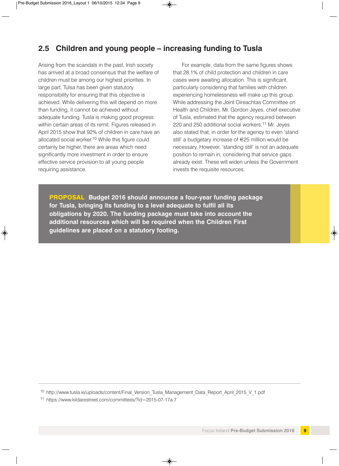### **2.5 Children and young people – increasing funding to Tusla**

Arising from the scandals in the past, Irish society has arrived at a broad consensus that the welfare of children must be among our highest priorities. In large part, Tulsa has been given statutory responsibility for ensuring that this objective is achieved. While delivering this will depend on more than funding, it cannot be achieved without adequate funding. Tusla is making good progress within certain areas of its remit. Figures released in April 2015 show that 92% of children in care have an allocated social worker.<sup>10</sup> While this figure could certainly be higher, there are areas which need significantly more investment in order to ensure effective service provision to all young people requiring assistance.

For example, data from the same figures shows that 28.1% of child protection and children in care cases were awaiting allocation. This is significant, particularly considering that families with children experiencing homelessness will make up this group. While addressing the Joint Oireachtas Committee on Health and Children, Mr. Gordon Jeyes, chief executive of Tusla, estimated that the agency required between 220 and 250 additional social workers.<sup>11</sup> Mr. Jeyes also stated that, in order for the agency to even 'stand still' a budgetary increase of €25 million would be necessary. However, 'standing still' is not an adequate position to remain in, considering that service gaps already exist. These will widen unless the Government invests the requisite resources.

**PROPOSAL Budget 2016 should announce a four-year funding package for Tusla, bringing its funding to a level adequate to fulfil all its obligations by 2020. The funding package must take into account the additional resources which will be required when the Children First guidelines are placed on a statutory footing.**

<sup>10</sup> http://www.tusla.ie/uploads/content/Final Version Tusla Management Data Report April 2015 V 1.pdf

—————————————————————————————————————————————————————

<sup>11</sup> https://www.kildarestreet.com/committees/?id=2015-07-17a.7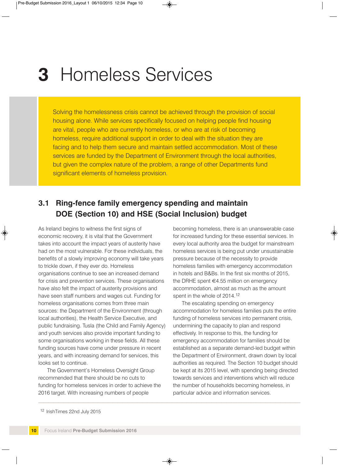### **3** Homeless Services

Solving the homelessness crisis cannot be achieved through the provision of social housing alone. While services specifically focused on helping people find housing are vital, people who are currently homeless, or who are at risk of becoming homeless, require additional support in order to deal with the situation they are facing and to help them secure and maintain settled accommodation. Most of these services are funded by the Department of Environment through the local authorities, but given the complex nature of the problem, a range of other Departments fund significant elements of homeless provision.

—————————————————————————————————————————————————————

### **3.1 Ring-fence family emergency spending and maintain DOE (Section 10) and HSE (Social Inclusion) budget**

As Ireland begins to witness the first signs of economic recovery, it is vital that the Government takes into account the impact years of austerity have had on the most vulnerable. For these individuals, the benefits of a slowly improving economy will take years to trickle down, if they ever do. Homeless organisations continue to see an increased demand for crisis and prevention services. These organisations have also felt the impact of austerity provisions and have seen staff numbers and wages cut. Funding for homeless organisations comes from three main sources: the Department of the Environment (through local authorities), the Health Service Executive, and public fundraising. Tusla (the Child and Family Agency) and youth services also provide important funding to some organisations working in these fields. All these funding sources have come under pressure in recent years, and with increasing demand for services, this looks set to continue.

The Government's Homeless Oversight Group recommended that there should be no cuts to funding for homeless services in order to achieve the 2016 target. With increasing numbers of people

becoming homeless, there is an unanswerable case for increased funding for these essential services. In every local authority area the budget for mainstream homeless services is being put under unsustainable pressure because of the necessity to provide homeless families with emergency accommodation in hotels and B&Bs. In the first six months of 2015, the DRHE spent €4.55 million on emergency accommodation, almost as much as the amount spent in the whole of 2014.<sup>12</sup>

The escalating spending on emergency accommodation for homeless families puts the entire funding of homeless services into permanent crisis, undermining the capacity to plan and respond effectively. In response to this, the funding for emergency accommodation for families should be established as a separate demand-led budget within the Department of Environment, drawn down by local authorities as required. The Section 10 budget should be kept at its 2015 level, with spending being directed towards services and interventions which will reduce the number of households becoming homeless, in particular advice and information services.

<sup>12</sup> IrishTimes 22nd July 2015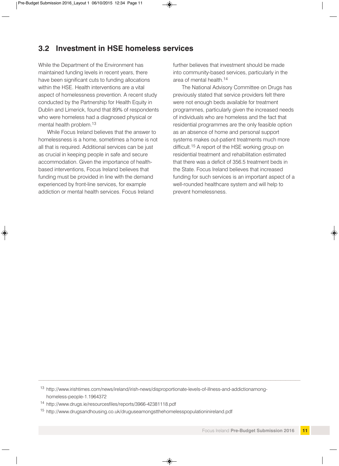#### **3.2 Investment in HSE homeless services**

While the Department of the Environment has maintained funding levels in recent years, there have been significant cuts to funding allocations within the HSE. Health interventions are a vital aspect of homelessness prevention. A recent study conducted by the Partnership for Health Equity in Dublin and Limerick, found that 89% of respondents who were homeless had a diagnosed physical or mental health problem.<sup>13</sup>

While Focus Ireland believes that the answer to homelessness is a home, sometimes a home is not all that is required. Additional services can be just as crucial in keeping people in safe and secure accommodation. Given the importance of healthbased interventions, Focus Ireland believes that funding must be provided in line with the demand experienced by front-line services, for example addiction or mental health services. Focus Ireland

further believes that investment should be made into community-based services, particularly in the area of mental health.<sup>14</sup>

The National Advisory Committee on Drugs has previously stated that service providers felt there were not enough beds available for treatment programmes, particularly given the increased needs of individuals who are homeless and the fact that residential programmes are the only feasible option as an absence of home and personal support systems makes out-patient treatments much more difficult.<sup>15</sup> A report of the HSE working group on residential treatment and rehabilitation estimated that there was a deficit of 356.5 treatment beds in the State. Focus Ireland believes that increased funding for such services is an important aspect of a well-rounded healthcare system and will help to prevent homelessness.

<sup>13</sup> http://www.irishtimes.com/news/ireland/irish-news/disproportionate-levels-of-illness-and-addictionamonghomeless-people-1.1964372

—————————————————————————————————————————————————————

<sup>14</sup> http://www.drugs.ie/resourcesfiles/reports/3966-42381118.pdf

<sup>15</sup> http://www.drugsandhousing.co.uk/druguseamongstthehomelesspopulationinireland.pdf